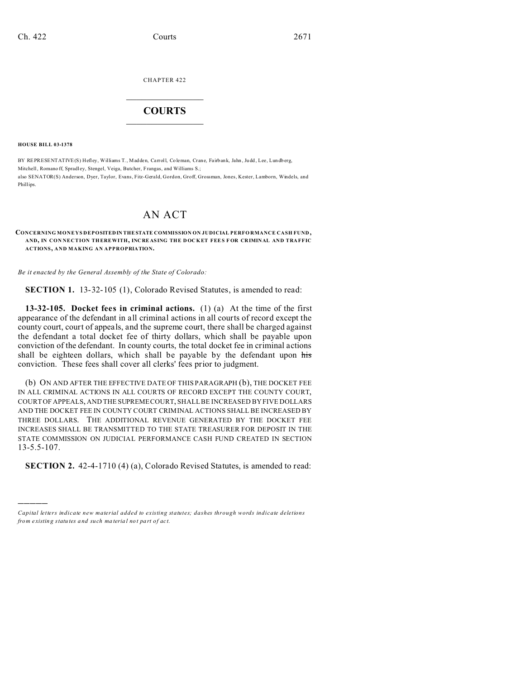CHAPTER 422

# $\overline{\phantom{a}}$  , where  $\overline{\phantom{a}}$ **COURTS**  $\_$

**HOUSE BILL 03-1378**

)))))

BY REPRESENTATIVE(S) Hefley, Williams T., Madden, Carroll, Co leman, Crane, Fairb ank, Jahn , Ju dd , Lee, Lun db erg, Mitchell, Romano ff, Spradley, Stengel, Veiga, Butcher, Frangas, and Williams S.; also SENATOR(S) Anderson, Dyer, Taylor, Evans, Fitz-Gerald, Gordon, Groff, Grossman, Jones, Kester, Lamborn, Windels, and Phillips.

## AN ACT

### **CONCERNING MONEYS DEPOSITEDIN THESTATE COMMISSION ON JUDICIAL PERFO RMANCE CASH FUND , AND, IN CON NECTION THEREWITH, INCRE AS ING THE DOC KET FEES F OR CRIMINAL AND TRAFFIC ACTIONS, AND MAKING AN APPROPRIATION.**

*Be it enacted by the General Assembly of the State of Colorado:*

**SECTION 1.** 13-32-105 (1), Colorado Revised Statutes, is amended to read:

**13-32-105. Docket fees in criminal actions.** (1) (a) At the time of the first appearance of the defendant in all criminal actions in all courts of record except the county court, court of appeals, and the supreme court, there shall be charged against the defendant a total docket fee of thirty dollars, which shall be payable upon conviction of the defendant. In county courts, the total docket fee in criminal actions shall be eighteen dollars, which shall be payable by the defendant upon his conviction. These fees shall cover all clerks' fees prior to judgment.

(b) ON AND AFTER THE EFFECTIVE DATE OF THIS PARAGRAPH (b), THE DOCKET FEE IN ALL CRIMINAL ACTIONS IN ALL COURTS OF RECORD EXCEPT THE COUNTY COURT, COURT OF APPEALS, AND THE SUPREME COURT, SHALL BE INCREASED BY FIVE DOLLARS AND THE DOCKET FEE IN COUNTY COURT CRIMINAL ACTIONS SHALL BE INCREASED BY THREE DOLLARS. THE ADDITIONAL REVENUE GENERATED BY THE DOCKET FEE INCREASES SHALL BE TRANSMITTED TO THE STATE TREASURER FOR DEPOSIT IN THE STATE COMMISSION ON JUDICIAL PERFORMANCE CASH FUND CREATED IN SECTION 13-5.5-107.

**SECTION 2.** 42-4-1710 (4) (a), Colorado Revised Statutes, is amended to read:

*Capital letters indicate new material added to existing statutes; dashes through words indicate deletions from e xistin g statu tes a nd such ma teria l no t pa rt of ac t.*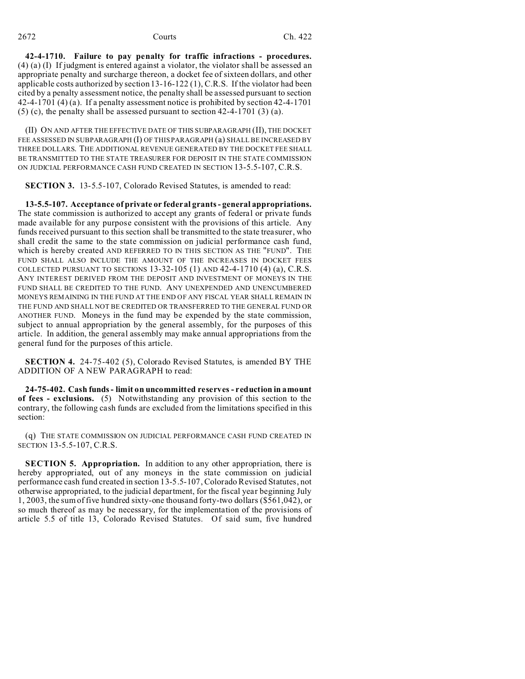**42-4-1710. Failure to pay penalty for traffic infractions - procedures.** (4) (a) (I) If judgment is entered against a violator, the violator shall be assessed an appropriate penalty and surcharge thereon, a docket fee of sixteen dollars, and other applicable costs authorized by section 13-16-122 (1), C.R.S. If the violator had been cited by a penalty assessment notice, the penalty shall be assessed pursuant to section 42-4-1701 (4) (a). If a penalty assessment notice is prohibited by section 42-4-1701 (5) (c), the penalty shall be assessed pursuant to section 42-4-1701 (3) (a).

(II) ON AND AFTER THE EFFECTIVE DATE OF THIS SUBPARAGRAPH (II), THE DOCKET FEE ASSESSED IN SUBPARAGRAPH (I) OF THIS PARAGRAPH (a) SHALL BE INCREASED BY THREE DOLLARS. THE ADDITIONAL REVENUE GENERATED BY THE DOCKET FEE SHALL BE TRANSMITTED TO THE STATE TREASURER FOR DEPOSIT IN THE STATE COMMISSION ON JUDICIAL PERFORMANCE CASH FUND CREATED IN SECTION 13-5.5-107, C.R.S.

**SECTION 3.** 13-5.5-107, Colorado Revised Statutes, is amended to read:

**13-5.5-107. Acceptance of private or federal grants - general appropriations.** The state commission is authorized to accept any grants of federal or private funds made available for any purpose consistent with the provisions of this article. Any funds received pursuant to this section shall be transmitted to the state treasurer, who shall credit the same to the state commission on judicial performance cash fund, which is hereby created AND REFERRED TO IN THIS SECTION AS THE "FUND". THE FUND SHALL ALSO INCLUDE THE AMOUNT OF THE INCREASES IN DOCKET FEES COLLECTED PURSUANT TO SECTIONS  $13-32-105$  (1) AND  $42-4-1710$  (4) (a), C.R.S. ANY INTEREST DERIVED FROM THE DEPOSIT AND INVESTMENT OF MONEYS IN THE FUND SHALL BE CREDITED TO THE FUND. ANY UNEXPENDED AND UNENCUMBERED MONEYS REMAINING IN THE FUND AT THE END OF ANY FISCAL YEAR SHALL REMAIN IN THE FUND AND SHALL NOT BE CREDITED OR TRANSFERRED TO THE GENERAL FUND OR ANOTHER FUND. Moneys in the fund may be expended by the state commission, subject to annual appropriation by the general assembly, for the purposes of this article. In addition, the general assembly may make annual appropriations from the general fund for the purposes of this article.

**SECTION 4.** 24-75-402 (5), Colorado Revised Statutes, is amended BY THE ADDITION OF A NEW PARAGRAPH to read:

**24-75-402. Cash funds - limit on uncommitted reserves - reduction in amount of fees - exclusions.** (5) Notwithstanding any provision of this section to the contrary, the following cash funds are excluded from the limitations specified in this section:

(q) THE STATE COMMISSION ON JUDICIAL PERFORMANCE CASH FUND CREATED IN SECTION 13-5.5-107, C.R.S.

**SECTION 5. Appropriation.** In addition to any other appropriation, there is hereby appropriated, out of any moneys in the state commission on judicial performance cash fund created in section 13-5.5-107, Colorado Revised Statutes, not otherwise appropriated, to the judicial department, for the fiscal year beginning July 1, 2003, the sum of five hundred sixty-one thousand forty-two dollars (\$561,042), or so much thereof as may be necessary, for the implementation of the provisions of article 5.5 of title 13, Colorado Revised Statutes. Of said sum, five hundred